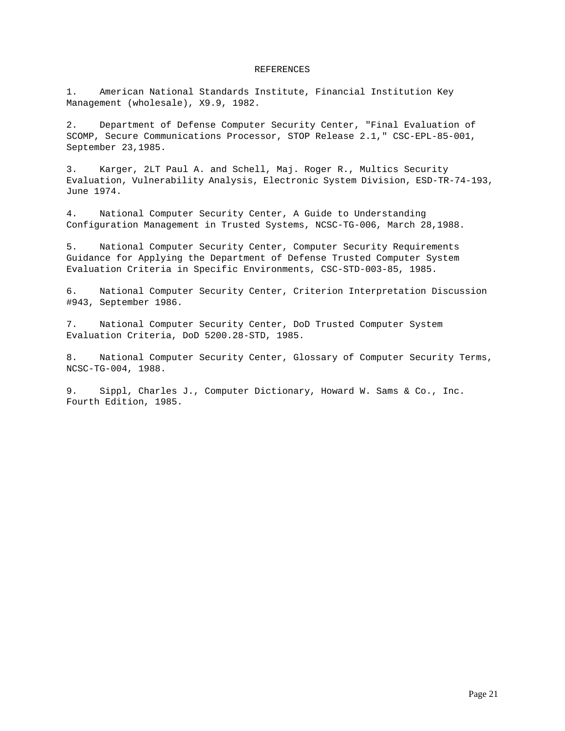### REFERENCES

1. American National Standards Institute, Financial Institution Key Management (wholesale), X9.9, 1982.

2. Department of Defense Computer Security Center, "Final Evaluation of SCOMP, Secure Communications Processor, STOP Release 2.1," CSC-EPL-85-001, September 23,1985.

3. Karger, 2LT Paul A. and Schell, Maj. Roger R., Multics Security Evaluation, Vulnerability Analysis, Electronic System Division, ESD-TR-74-193, June 1974.

4. National Computer Security Center, A Guide to Understanding Configuration Management in Trusted Systems, NCSC-TG-006, March 28,1988.

5. National Computer Security Center, Computer Security Requirements Guidance for Applying the Department of Defense Trusted Computer System Evaluation Criteria in Specific Environments, CSC-STD-003-85, 1985.

6. National Computer Security Center, Criterion Interpretation Discussion #943, September 1986.

7. National Computer Security Center, DoD Trusted Computer System Evaluation Criteria, DoD 5200.28-STD, 1985.

8. National Computer Security Center, Glossary of Computer Security Terms, NCSC-TG-004, 1988.

9. Sippl, Charles J., Computer Dictionary, Howard W. Sams & Co., Inc. Fourth Edition, 1985.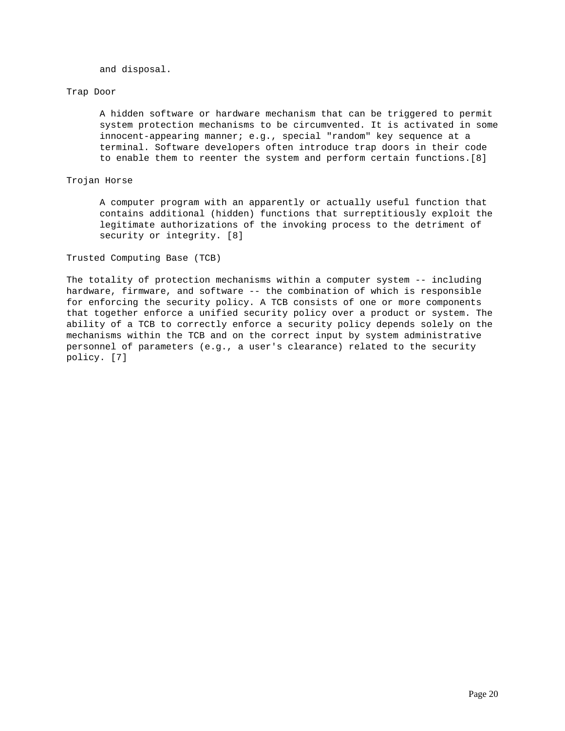and disposal.

### Trap Door

 A hidden software or hardware mechanism that can be triggered to permit system protection mechanisms to be circumvented. It is activated in some innocent-appearing manner; e.g., special "random" key sequence at a terminal. Software developers often introduce trap doors in their code to enable them to reenter the system and perform certain functions.[8]

## Trojan Horse

 A computer program with an apparently or actually useful function that contains additional (hidden) functions that surreptitiously exploit the legitimate authorizations of the invoking process to the detriment of security or integrity. [8]

Trusted Computing Base (TCB)

The totality of protection mechanisms within a computer system -- including hardware, firmware, and software -- the combination of which is responsible for enforcing the security policy. A TCB consists of one or more components that together enforce a unified security policy over a product or system. The ability of a TCB to correctly enforce a security policy depends solely on the mechanisms within the TCB and on the correct input by system administrative personnel of parameters (e.g., a user's clearance) related to the security policy. [7]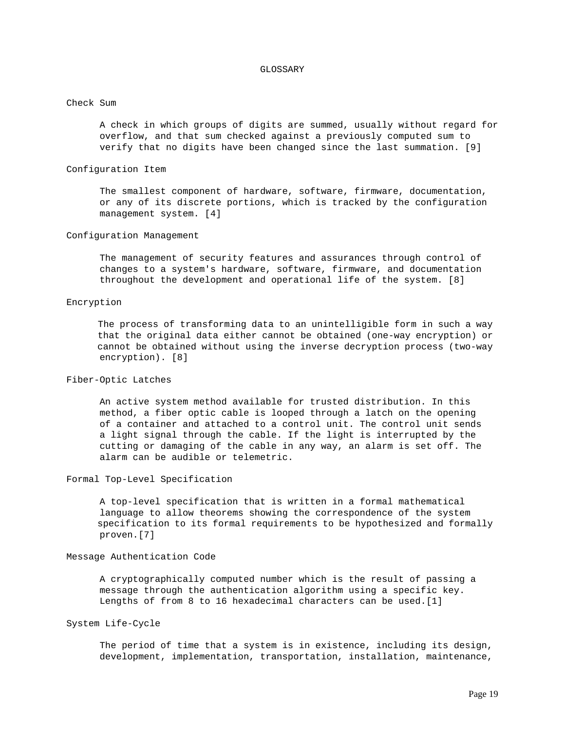#### GLOSSARY

### Check Sum

 A check in which groups of digits are summed, usually without regard for overflow, and that sum checked against a previously computed sum to verify that no digits have been changed since the last summation. [9]

#### Configuration Item

 The smallest component of hardware, software, firmware, documentation, or any of its discrete portions, which is tracked by the configuration management system. [4]

#### Configuration Management

 The management of security features and assurances through control of changes to a system's hardware, software, firmware, and documentation throughout the development and operational life of the system. [8]

### Encryption

 The process of transforming data to an unintelligible form in such a way that the original data either cannot be obtained (one-way encryption) or cannot be obtained without using the inverse decryption process (two-way encryption). [8]

### Fiber-Optic Latches

 An active system method available for trusted distribution. In this method, a fiber optic cable is looped through a latch on the opening of a container and attached to a control unit. The control unit sends a light signal through the cable. If the light is interrupted by the cutting or damaging of the cable in any way, an alarm is set off. The alarm can be audible or telemetric.

#### Formal Top-Level Specification

 A top-level specification that is written in a formal mathematical language to allow theorems showing the correspondence of the system specification to its formal requirements to be hypothesized and formally proven.[7]

#### Message Authentication Code

 A cryptographically computed number which is the result of passing a message through the authentication algorithm using a specific key. Lengths of from 8 to 16 hexadecimal characters can be used.[1]

### System Life-Cycle

 The period of time that a system is in existence, including its design, development, implementation, transportation, installation, maintenance,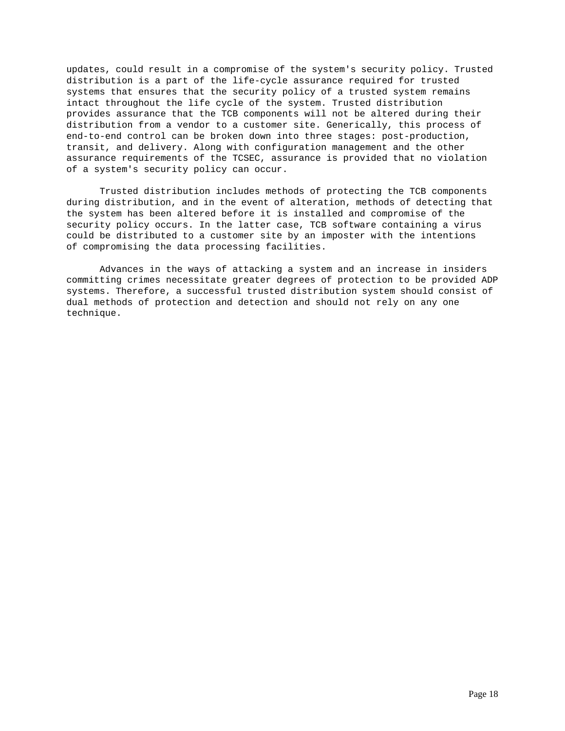updates, could result in a compromise of the system's security policy. Trusted distribution is a part of the life-cycle assurance required for trusted systems that ensures that the security policy of a trusted system remains intact throughout the life cycle of the system. Trusted distribution provides assurance that the TCB components will not be altered during their distribution from a vendor to a customer site. Generically, this process of end-to-end control can be broken down into three stages: post-production, transit, and delivery. Along with configuration management and the other assurance requirements of the TCSEC, assurance is provided that no violation of a system's security policy can occur.

 Trusted distribution includes methods of protecting the TCB components during distribution, and in the event of alteration, methods of detecting that the system has been altered before it is installed and compromise of the security policy occurs. In the latter case, TCB software containing a virus could be distributed to a customer site by an imposter with the intentions of compromising the data processing facilities.

 Advances in the ways of attacking a system and an increase in insiders committing crimes necessitate greater degrees of protection to be provided ADP systems. Therefore, a successful trusted distribution system should consist of dual methods of protection and detection and should not rely on any one technique.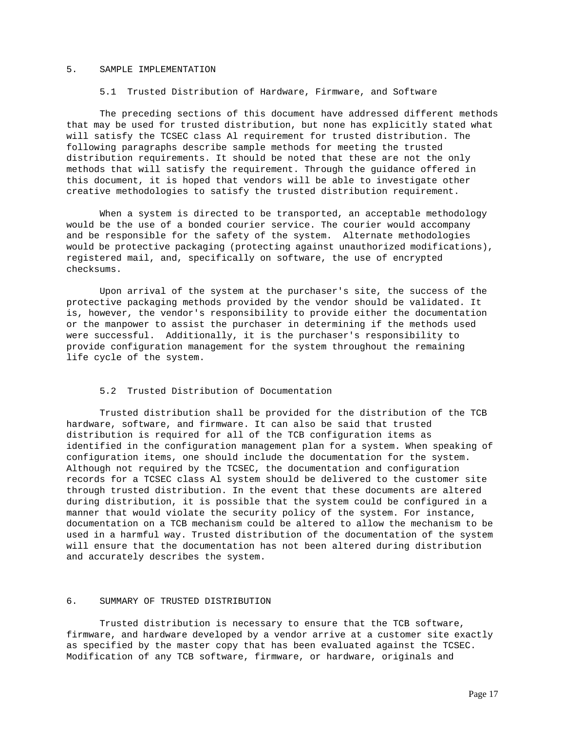### 5. SAMPLE IMPLEMENTATION

### 5.1 Trusted Distribution of Hardware, Firmware, and Software

 The preceding sections of this document have addressed different methods that may be used for trusted distribution, but none has explicitly stated what will satisfy the TCSEC class Al requirement for trusted distribution. The following paragraphs describe sample methods for meeting the trusted distribution requirements. It should be noted that these are not the only methods that will satisfy the requirement. Through the guidance offered in this document, it is hoped that vendors will be able to investigate other creative methodologies to satisfy the trusted distribution requirement.

 When a system is directed to be transported, an acceptable methodology would be the use of a bonded courier service. The courier would accompany and be responsible for the safety of the system. Alternate methodologies would be protective packaging (protecting against unauthorized modifications), registered mail, and, specifically on software, the use of encrypted checksums.

 Upon arrival of the system at the purchaser's site, the success of the protective packaging methods provided by the vendor should be validated. It is, however, the vendor's responsibility to provide either the documentation or the manpower to assist the purchaser in determining if the methods used were successful. Additionally, it is the purchaser's responsibility to provide configuration management for the system throughout the remaining life cycle of the system.

# 5.2 Trusted Distribution of Documentation

 Trusted distribution shall be provided for the distribution of the TCB hardware, software, and firmware. It can also be said that trusted distribution is required for all of the TCB configuration items as identified in the configuration management plan for a system. When speaking of configuration items, one should include the documentation for the system. Although not required by the TCSEC, the documentation and configuration records for a TCSEC class Al system should be delivered to the customer site through trusted distribution. In the event that these documents are altered during distribution, it is possible that the system could be configured in a manner that would violate the security policy of the system. For instance, documentation on a TCB mechanism could be altered to allow the mechanism to be used in a harmful way. Trusted distribution of the documentation of the system will ensure that the documentation has not been altered during distribution and accurately describes the system.

### 6. SUMMARY OF TRUSTED DISTRIBUTION

 Trusted distribution is necessary to ensure that the TCB software, firmware, and hardware developed by a vendor arrive at a customer site exactly as specified by the master copy that has been evaluated against the TCSEC. Modification of any TCB software, firmware, or hardware, originals and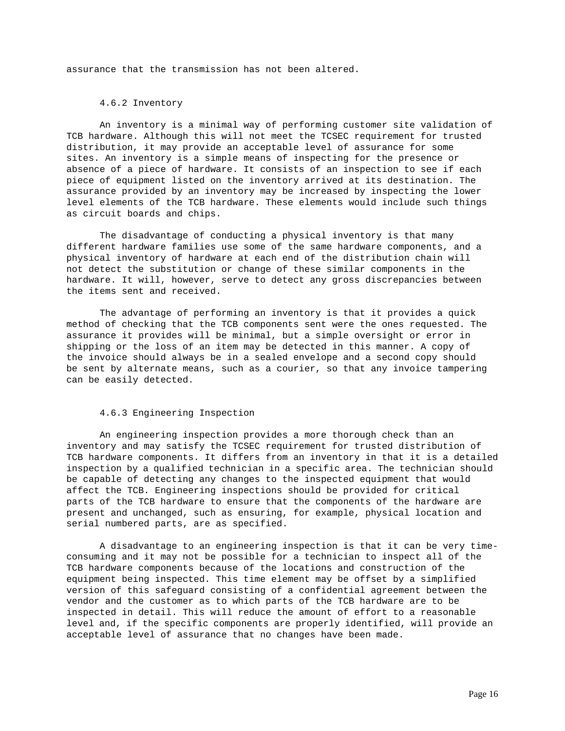assurance that the transmission has not been altered.

## 4.6.2 Inventory

 An inventory is a minimal way of performing customer site validation of TCB hardware. Although this will not meet the TCSEC requirement for trusted distribution, it may provide an acceptable level of assurance for some sites. An inventory is a simple means of inspecting for the presence or absence of a piece of hardware. It consists of an inspection to see if each piece of equipment listed on the inventory arrived at its destination. The assurance provided by an inventory may be increased by inspecting the lower level elements of the TCB hardware. These elements would include such things as circuit boards and chips.

 The disadvantage of conducting a physical inventory is that many different hardware families use some of the same hardware components, and a physical inventory of hardware at each end of the distribution chain will not detect the substitution or change of these similar components in the hardware. It will, however, serve to detect any gross discrepancies between the items sent and received.

 The advantage of performing an inventory is that it provides a quick method of checking that the TCB components sent were the ones requested. The assurance it provides will be minimal, but a simple oversight or error in shipping or the loss of an item may be detected in this manner. A copy of the invoice should always be in a sealed envelope and a second copy should be sent by alternate means, such as a courier, so that any invoice tampering can be easily detected.

#### 4.6.3 Engineering Inspection

 An engineering inspection provides a more thorough check than an inventory and may satisfy the TCSEC requirement for trusted distribution of TCB hardware components. It differs from an inventory in that it is a detailed inspection by a qualified technician in a specific area. The technician should be capable of detecting any changes to the inspected equipment that would affect the TCB. Engineering inspections should be provided for critical parts of the TCB hardware to ensure that the components of the hardware are present and unchanged, such as ensuring, for example, physical location and serial numbered parts, are as specified.

 A disadvantage to an engineering inspection is that it can be very timeconsuming and it may not be possible for a technician to inspect all of the TCB hardware components because of the locations and construction of the equipment being inspected. This time element may be offset by a simplified version of this safeguard consisting of a confidential agreement between the vendor and the customer as to which parts of the TCB hardware are to be inspected in detail. This will reduce the amount of effort to a reasonable level and, if the specific components are properly identified, will provide an acceptable level of assurance that no changes have been made.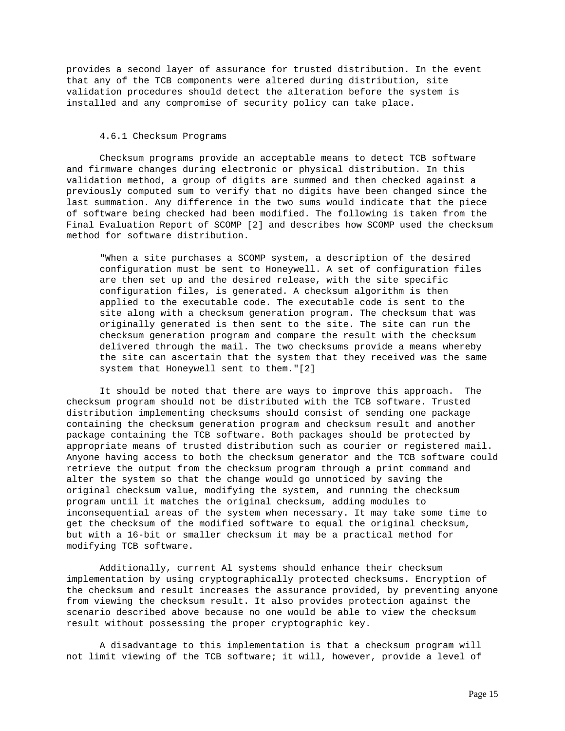provides a second layer of assurance for trusted distribution. In the event that any of the TCB components were altered during distribution, site validation procedures should detect the alteration before the system is installed and any compromise of security policy can take place.

### 4.6.1 Checksum Programs

 Checksum programs provide an acceptable means to detect TCB software and firmware changes during electronic or physical distribution. In this validation method, a group of digits are summed and then checked against a previously computed sum to verify that no digits have been changed since the last summation. Any difference in the two sums would indicate that the piece of software being checked had been modified. The following is taken from the Final Evaluation Report of SCOMP [2] and describes how SCOMP used the checksum method for software distribution.

 "When a site purchases a SCOMP system, a description of the desired configuration must be sent to Honeywell. A set of configuration files are then set up and the desired release, with the site specific configuration files, is generated. A checksum algorithm is then applied to the executable code. The executable code is sent to the site along with a checksum generation program. The checksum that was originally generated is then sent to the site. The site can run the checksum generation program and compare the result with the checksum delivered through the mail. The two checksums provide a means whereby the site can ascertain that the system that they received was the same system that Honeywell sent to them."[2]

 It should be noted that there are ways to improve this approach. The checksum program should not be distributed with the TCB software. Trusted distribution implementing checksums should consist of sending one package containing the checksum generation program and checksum result and another package containing the TCB software. Both packages should be protected by appropriate means of trusted distribution such as courier or registered mail. Anyone having access to both the checksum generator and the TCB software could retrieve the output from the checksum program through a print command and alter the system so that the change would go unnoticed by saving the original checksum value, modifying the system, and running the checksum program until it matches the original checksum, adding modules to inconsequential areas of the system when necessary. It may take some time to get the checksum of the modified software to equal the original checksum, but with a 16-bit or smaller checksum it may be a practical method for modifying TCB software.

 Additionally, current Al systems should enhance their checksum implementation by using cryptographically protected checksums. Encryption of the checksum and result increases the assurance provided, by preventing anyone from viewing the checksum result. It also provides protection against the scenario described above because no one would be able to view the checksum result without possessing the proper cryptographic key.

 A disadvantage to this implementation is that a checksum program will not limit viewing of the TCB software; it will, however, provide a level of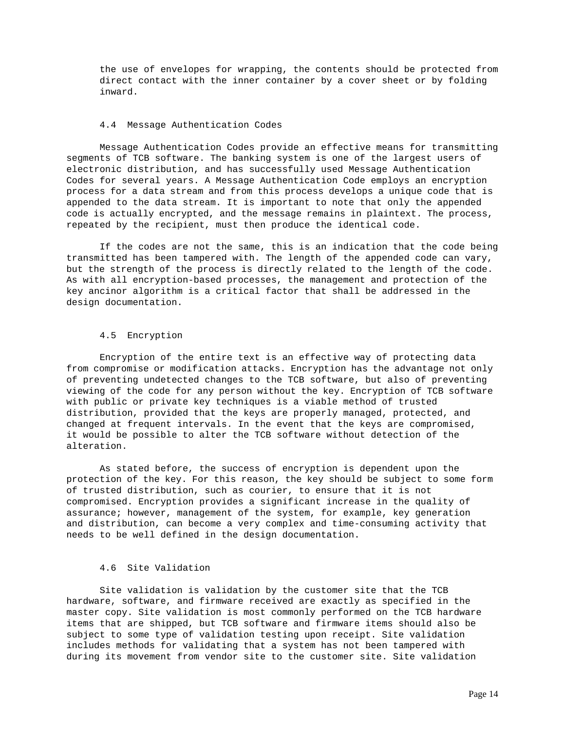the use of envelopes for wrapping, the contents should be protected from direct contact with the inner container by a cover sheet or by folding inward.

### 4.4 Message Authentication Codes

 Message Authentication Codes provide an effective means for transmitting segments of TCB software. The banking system is one of the largest users of electronic distribution, and has successfully used Message Authentication Codes for several years. A Message Authentication Code employs an encryption process for a data stream and from this process develops a unique code that is appended to the data stream. It is important to note that only the appended code is actually encrypted, and the message remains in plaintext. The process, repeated by the recipient, must then produce the identical code.

 If the codes are not the same, this is an indication that the code being transmitted has been tampered with. The length of the appended code can vary, but the strength of the process is directly related to the length of the code. As with all encryption-based processes, the management and protection of the key ancinor algorithm is a critical factor that shall be addressed in the design documentation.

#### 4.5 Encryption

 Encryption of the entire text is an effective way of protecting data from compromise or modification attacks. Encryption has the advantage not only of preventing undetected changes to the TCB software, but also of preventing viewing of the code for any person without the key. Encryption of TCB software with public or private key techniques is a viable method of trusted distribution, provided that the keys are properly managed, protected, and changed at frequent intervals. In the event that the keys are compromised, it would be possible to alter the TCB software without detection of the alteration.

 As stated before, the success of encryption is dependent upon the protection of the key. For this reason, the key should be subject to some form of trusted distribution, such as courier, to ensure that it is not compromised. Encryption provides a significant increase in the quality of assurance; however, management of the system, for example, key generation and distribution, can become a very complex and time-consuming activity that needs to be well defined in the design documentation.

# 4.6 Site Validation

 Site validation is validation by the customer site that the TCB hardware, software, and firmware received are exactly as specified in the master copy. Site validation is most commonly performed on the TCB hardware items that are shipped, but TCB software and firmware items should also be subject to some type of validation testing upon receipt. Site validation includes methods for validating that a system has not been tampered with during its movement from vendor site to the customer site. Site validation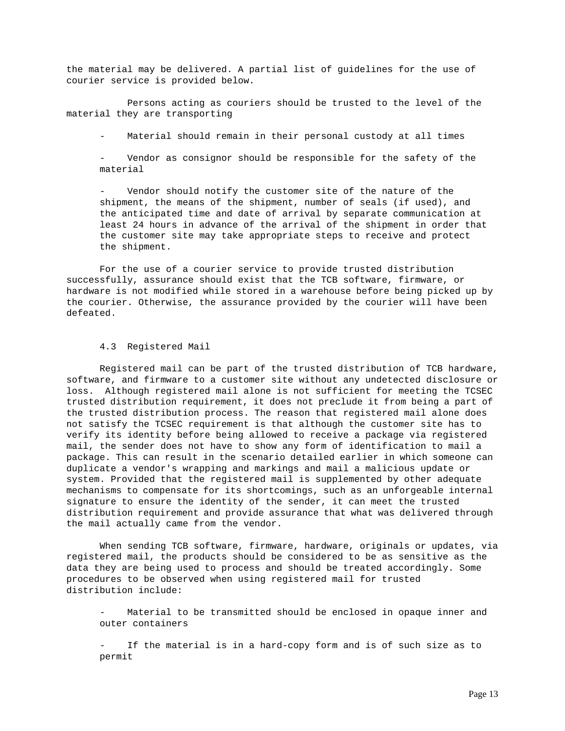the material may be delivered. A partial list of guidelines for the use of courier service is provided below.

 Persons acting as couriers should be trusted to the level of the material they are transporting

Material should remain in their personal custody at all times

Vendor as consignor should be responsible for the safety of the material

Vendor should notify the customer site of the nature of the shipment, the means of the shipment, number of seals (if used), and the anticipated time and date of arrival by separate communication at least 24 hours in advance of the arrival of the shipment in order that the customer site may take appropriate steps to receive and protect the shipment.

 For the use of a courier service to provide trusted distribution successfully, assurance should exist that the TCB software, firmware, or hardware is not modified while stored in a warehouse before being picked up by the courier. Otherwise, the assurance provided by the courier will have been defeated.

### 4.3 Registered Mail

 Registered mail can be part of the trusted distribution of TCB hardware, software, and firmware to a customer site without any undetected disclosure or loss. Although registered mail alone is not sufficient for meeting the TCSEC trusted distribution requirement, it does not preclude it from being a part of the trusted distribution process. The reason that registered mail alone does not satisfy the TCSEC requirement is that although the customer site has to verify its identity before being allowed to receive a package via registered mail, the sender does not have to show any form of identification to mail a package. This can result in the scenario detailed earlier in which someone can duplicate a vendor's wrapping and markings and mail a malicious update or system. Provided that the registered mail is supplemented by other adequate mechanisms to compensate for its shortcomings, such as an unforgeable internal signature to ensure the identity of the sender, it can meet the trusted distribution requirement and provide assurance that what was delivered through the mail actually came from the vendor.

 When sending TCB software, firmware, hardware, originals or updates, via registered mail, the products should be considered to be as sensitive as the data they are being used to process and should be treated accordingly. Some procedures to be observed when using registered mail for trusted distribution include:

Material to be transmitted should be enclosed in opaque inner and outer containers

If the material is in a hard-copy form and is of such size as to permit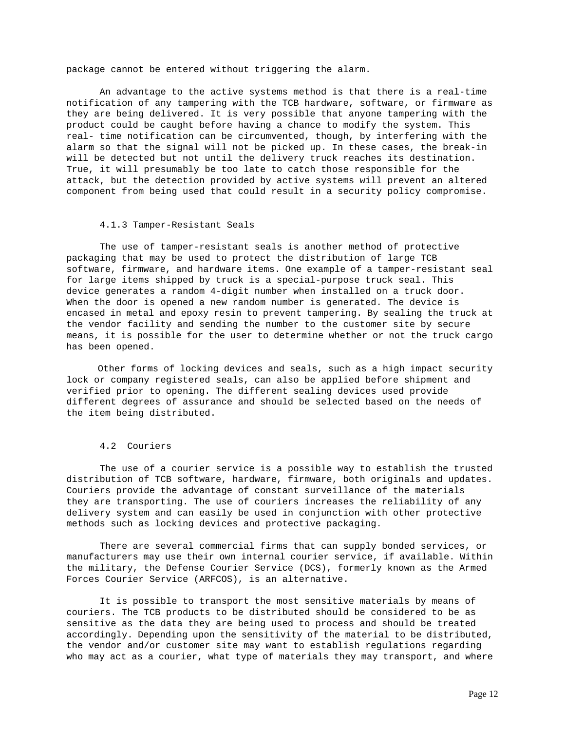package cannot be entered without triggering the alarm.

 An advantage to the active systems method is that there is a real-time notification of any tampering with the TCB hardware, software, or firmware as they are being delivered. It is very possible that anyone tampering with the product could be caught before having a chance to modify the system. This real- time notification can be circumvented, though, by interfering with the alarm so that the signal will not be picked up. In these cases, the break-in will be detected but not until the delivery truck reaches its destination. True, it will presumably be too late to catch those responsible for the attack, but the detection provided by active systems will prevent an altered component from being used that could result in a security policy compromise.

### 4.1.3 Tamper-Resistant Seals

 The use of tamper-resistant seals is another method of protective packaging that may be used to protect the distribution of large TCB software, firmware, and hardware items. One example of a tamper-resistant seal for large items shipped by truck is a special-purpose truck seal. This device generates a random 4-digit number when installed on a truck door. When the door is opened a new random number is generated. The device is encased in metal and epoxy resin to prevent tampering. By sealing the truck at the vendor facility and sending the number to the customer site by secure means, it is possible for the user to determine whether or not the truck cargo has been opened.

 Other forms of locking devices and seals, such as a high impact security lock or company registered seals, can also be applied before shipment and verified prior to opening. The different sealing devices used provide different degrees of assurance and should be selected based on the needs of the item being distributed.

## 4.2 Couriers

 The use of a courier service is a possible way to establish the trusted distribution of TCB software, hardware, firmware, both originals and updates. Couriers provide the advantage of constant surveillance of the materials they are transporting. The use of couriers increases the reliability of any delivery system and can easily be used in conjunction with other protective methods such as locking devices and protective packaging.

 There are several commercial firms that can supply bonded services, or manufacturers may use their own internal courier service, if available. Within the military, the Defense Courier Service (DCS), formerly known as the Armed Forces Courier Service (ARFCOS), is an alternative.

 It is possible to transport the most sensitive materials by means of couriers. The TCB products to be distributed should be considered to be as sensitive as the data they are being used to process and should be treated accordingly. Depending upon the sensitivity of the material to be distributed, the vendor and/or customer site may want to establish regulations regarding who may act as a courier, what type of materials they may transport, and where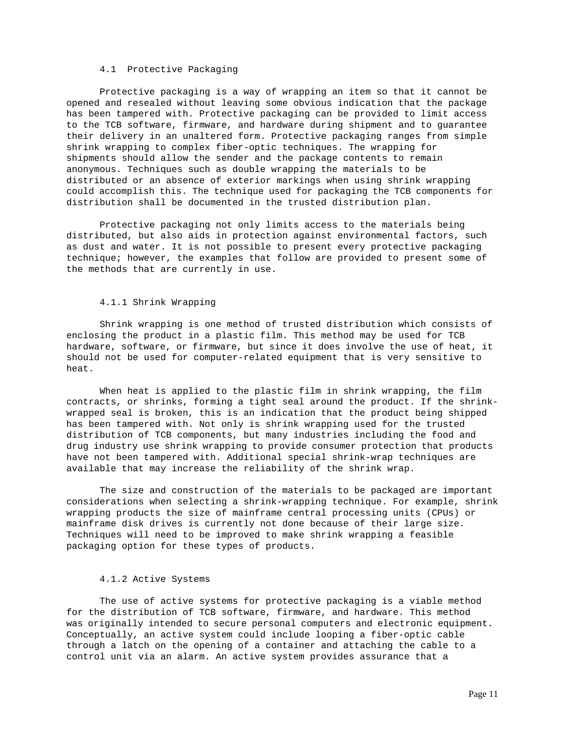### 4.1 Protective Packaging

 Protective packaging is a way of wrapping an item so that it cannot be opened and resealed without leaving some obvious indication that the package has been tampered with. Protective packaging can be provided to limit access to the TCB software, firmware, and hardware during shipment and to guarantee their delivery in an unaltered form. Protective packaging ranges from simple shrink wrapping to complex fiber-optic techniques. The wrapping for shipments should allow the sender and the package contents to remain anonymous. Techniques such as double wrapping the materials to be distributed or an absence of exterior markings when using shrink wrapping could accomplish this. The technique used for packaging the TCB components for distribution shall be documented in the trusted distribution plan.

 Protective packaging not only limits access to the materials being distributed, but also aids in protection against environmental factors, such as dust and water. It is not possible to present every protective packaging technique; however, the examples that follow are provided to present some of the methods that are currently in use.

### 4.1.1 Shrink Wrapping

 Shrink wrapping is one method of trusted distribution which consists of enclosing the product in a plastic film. This method may be used for TCB hardware, software, or firmware, but since it does involve the use of heat, it should not be used for computer-related equipment that is very sensitive to heat.

 When heat is applied to the plastic film in shrink wrapping, the film contracts, or shrinks, forming a tight seal around the product. If the shrinkwrapped seal is broken, this is an indication that the product being shipped has been tampered with. Not only is shrink wrapping used for the trusted distribution of TCB components, but many industries including the food and drug industry use shrink wrapping to provide consumer protection that products have not been tampered with. Additional special shrink-wrap techniques are available that may increase the reliability of the shrink wrap.

 The size and construction of the materials to be packaged are important considerations when selecting a shrink-wrapping technique. For example, shrink wrapping products the size of mainframe central processing units (CPUs) or mainframe disk drives is currently not done because of their large size. Techniques will need to be improved to make shrink wrapping a feasible packaging option for these types of products.

### 4.1.2 Active Systems

 The use of active systems for protective packaging is a viable method for the distribution of TCB software, firmware, and hardware. This method was originally intended to secure personal computers and electronic equipment. Conceptually, an active system could include looping a fiber-optic cable through a latch on the opening of a container and attaching the cable to a control unit via an alarm. An active system provides assurance that a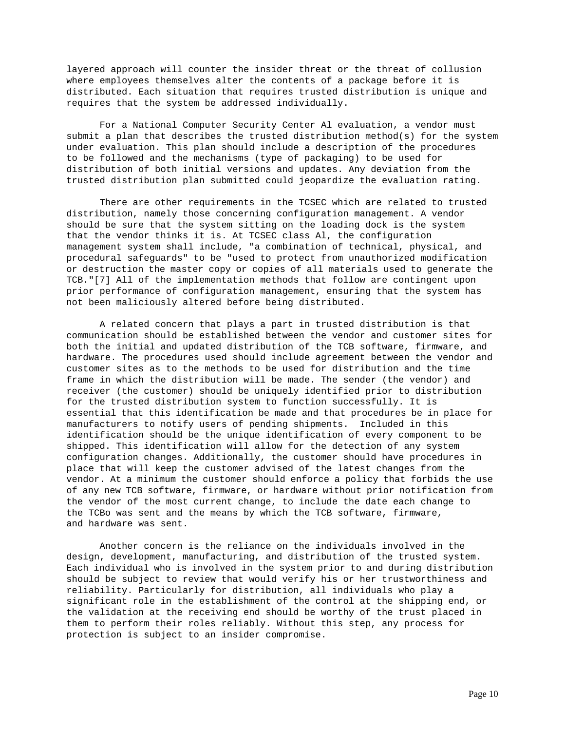layered approach will counter the insider threat or the threat of collusion where employees themselves alter the contents of a package before it is distributed. Each situation that requires trusted distribution is unique and requires that the system be addressed individually.

 For a National Computer Security Center Al evaluation, a vendor must submit a plan that describes the trusted distribution method(s) for the system under evaluation. This plan should include a description of the procedures to be followed and the mechanisms (type of packaging) to be used for distribution of both initial versions and updates. Any deviation from the trusted distribution plan submitted could jeopardize the evaluation rating.

 There are other requirements in the TCSEC which are related to trusted distribution, namely those concerning configuration management. A vendor should be sure that the system sitting on the loading dock is the system that the vendor thinks it is. At TCSEC class Al, the configuration management system shall include, "a combination of technical, physical, and procedural safeguards" to be "used to protect from unauthorized modification or destruction the master copy or copies of all materials used to generate the TCB."[7] All of the implementation methods that follow are contingent upon prior performance of configuration management, ensuring that the system has not been maliciously altered before being distributed.

 A related concern that plays a part in trusted distribution is that communication should be established between the vendor and customer sites for both the initial and updated distribution of the TCB software, firmware, and hardware. The procedures used should include agreement between the vendor and customer sites as to the methods to be used for distribution and the time frame in which the distribution will be made. The sender (the vendor) and receiver (the customer) should be uniquely identified prior to distribution for the trusted distribution system to function successfully. It is essential that this identification be made and that procedures be in place for manufacturers to notify users of pending shipments. Included in this identification should be the unique identification of every component to be shipped. This identification will allow for the detection of any system configuration changes. Additionally, the customer should have procedures in place that will keep the customer advised of the latest changes from the vendor. At a minimum the customer should enforce a policy that forbids the use of any new TCB software, firmware, or hardware without prior notification from the vendor of the most current change, to include the date each change to the TCBo was sent and the means by which the TCB software, firmware, and hardware was sent.

 Another concern is the reliance on the individuals involved in the design, development, manufacturing, and distribution of the trusted system. Each individual who is involved in the system prior to and during distribution should be subject to review that would verify his or her trustworthiness and reliability. Particularly for distribution, all individuals who play a significant role in the establishment of the control at the shipping end, or the validation at the receiving end should be worthy of the trust placed in them to perform their roles reliably. Without this step, any process for protection is subject to an insider compromise.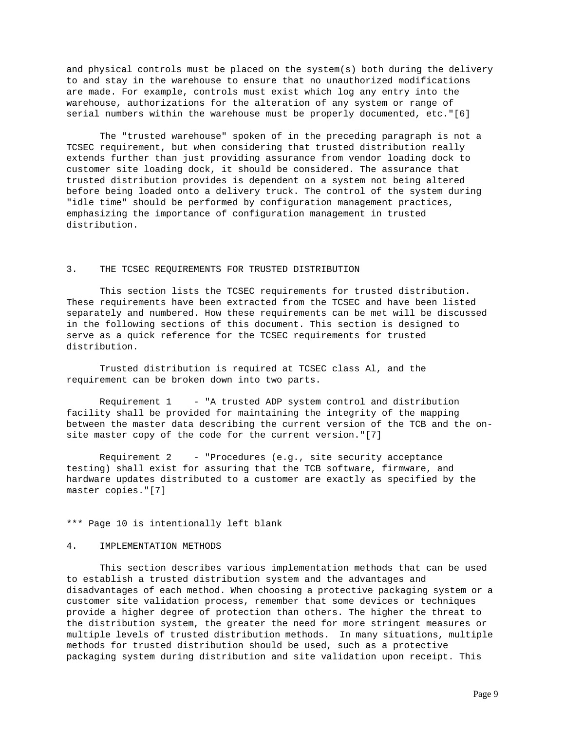and physical controls must be placed on the system(s) both during the delivery to and stay in the warehouse to ensure that no unauthorized modifications are made. For example, controls must exist which log any entry into the warehouse, authorizations for the alteration of any system or range of serial numbers within the warehouse must be properly documented, etc."[6]

 The "trusted warehouse" spoken of in the preceding paragraph is not a TCSEC requirement, but when considering that trusted distribution really extends further than just providing assurance from vendor loading dock to customer site loading dock, it should be considered. The assurance that trusted distribution provides is dependent on a system not being altered before being loaded onto a delivery truck. The control of the system during "idle time" should be performed by configuration management practices, emphasizing the importance of configuration management in trusted distribution.

# 3. THE TCSEC REQUIREMENTS FOR TRUSTED DISTRIBUTION

 This section lists the TCSEC requirements for trusted distribution. These requirements have been extracted from the TCSEC and have been listed separately and numbered. How these requirements can be met will be discussed in the following sections of this document. This section is designed to serve as a quick reference for the TCSEC requirements for trusted distribution.

 Trusted distribution is required at TCSEC class Al, and the requirement can be broken down into two parts.

 Requirement 1 - "A trusted ADP system control and distribution facility shall be provided for maintaining the integrity of the mapping between the master data describing the current version of the TCB and the onsite master copy of the code for the current version."[7]

 Requirement 2 - "Procedures (e.g., site security acceptance testing) shall exist for assuring that the TCB software, firmware, and hardware updates distributed to a customer are exactly as specified by the master copies."[7]

\*\*\* Page 10 is intentionally left blank

### 4. IMPLEMENTATION METHODS

 This section describes various implementation methods that can be used to establish a trusted distribution system and the advantages and disadvantages of each method. When choosing a protective packaging system or a customer site validation process, remember that some devices or techniques provide a higher degree of protection than others. The higher the threat to the distribution system, the greater the need for more stringent measures or multiple levels of trusted distribution methods. In many situations, multiple methods for trusted distribution should be used, such as a protective packaging system during distribution and site validation upon receipt. This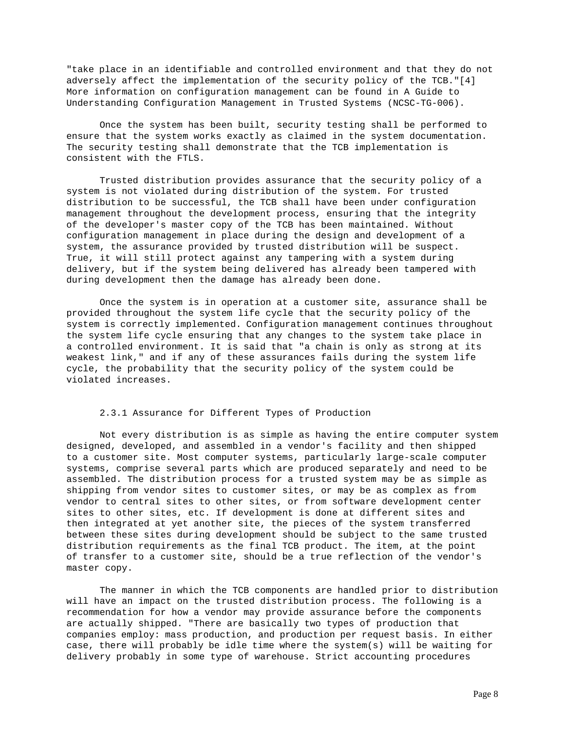"take place in an identifiable and controlled environment and that they do not adversely affect the implementation of the security policy of the TCB."[4] More information on configuration management can be found in A Guide to Understanding Configuration Management in Trusted Systems (NCSC-TG-006).

 Once the system has been built, security testing shall be performed to ensure that the system works exactly as claimed in the system documentation. The security testing shall demonstrate that the TCB implementation is consistent with the FTLS.

 Trusted distribution provides assurance that the security policy of a system is not violated during distribution of the system. For trusted distribution to be successful, the TCB shall have been under configuration management throughout the development process, ensuring that the integrity of the developer's master copy of the TCB has been maintained. Without configuration management in place during the design and development of a system, the assurance provided by trusted distribution will be suspect. True, it will still protect against any tampering with a system during delivery, but if the system being delivered has already been tampered with during development then the damage has already been done.

 Once the system is in operation at a customer site, assurance shall be provided throughout the system life cycle that the security policy of the system is correctly implemented. Configuration management continues throughout the system life cycle ensuring that any changes to the system take place in a controlled environment. It is said that "a chain is only as strong at its weakest link," and if any of these assurances fails during the system life cycle, the probability that the security policy of the system could be violated increases.

## 2.3.1 Assurance for Different Types of Production

 Not every distribution is as simple as having the entire computer system designed, developed, and assembled in a vendor's facility and then shipped to a customer site. Most computer systems, particularly large-scale computer systems, comprise several parts which are produced separately and need to be assembled. The distribution process for a trusted system may be as simple as shipping from vendor sites to customer sites, or may be as complex as from vendor to central sites to other sites, or from software development center sites to other sites, etc. If development is done at different sites and then integrated at yet another site, the pieces of the system transferred between these sites during development should be subject to the same trusted distribution requirements as the final TCB product. The item, at the point of transfer to a customer site, should be a true reflection of the vendor's master copy.

 The manner in which the TCB components are handled prior to distribution will have an impact on the trusted distribution process. The following is a recommendation for how a vendor may provide assurance before the components are actually shipped. "There are basically two types of production that companies employ: mass production, and production per request basis. In either case, there will probably be idle time where the system(s) will be waiting for delivery probably in some type of warehouse. Strict accounting procedures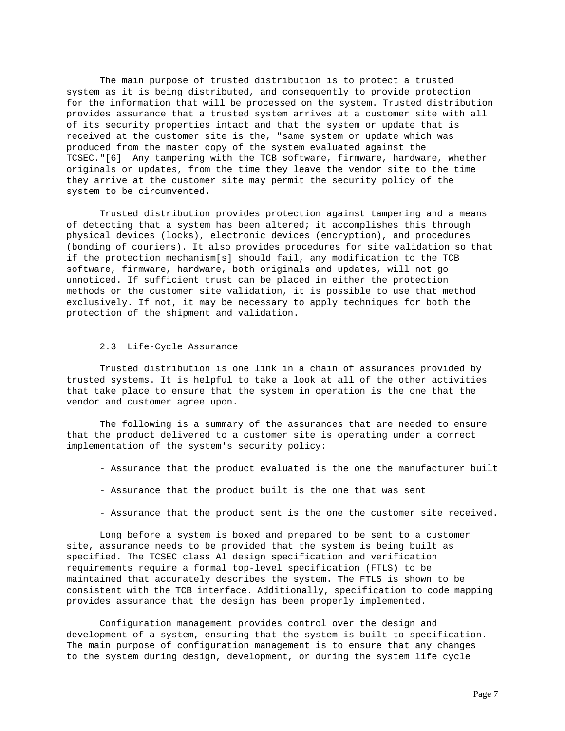The main purpose of trusted distribution is to protect a trusted system as it is being distributed, and consequently to provide protection for the information that will be processed on the system. Trusted distribution provides assurance that a trusted system arrives at a customer site with all of its security properties intact and that the system or update that is received at the customer site is the, "same system or update which was produced from the master copy of the system evaluated against the TCSEC."[6] Any tampering with the TCB software, firmware, hardware, whether originals or updates, from the time they leave the vendor site to the time they arrive at the customer site may permit the security policy of the system to be circumvented.

 Trusted distribution provides protection against tampering and a means of detecting that a system has been altered; it accomplishes this through physical devices (locks), electronic devices (encryption), and procedures (bonding of couriers). It also provides procedures for site validation so that if the protection mechanism[s] should fail, any modification to the TCB software, firmware, hardware, both originals and updates, will not go unnoticed. If sufficient trust can be placed in either the protection methods or the customer site validation, it is possible to use that method exclusively. If not, it may be necessary to apply techniques for both the protection of the shipment and validation.

## 2.3 Life-Cycle Assurance

 Trusted distribution is one link in a chain of assurances provided by trusted systems. It is helpful to take a look at all of the other activities that take place to ensure that the system in operation is the one that the vendor and customer agree upon.

 The following is a summary of the assurances that are needed to ensure that the product delivered to a customer site is operating under a correct implementation of the system's security policy:

- Assurance that the product evaluated is the one the manufacturer built
- Assurance that the product built is the one that was sent
- Assurance that the product sent is the one the customer site received.

 Long before a system is boxed and prepared to be sent to a customer site, assurance needs to be provided that the system is being built as specified. The TCSEC class Al design specification and verification requirements require a formal top-level specification (FTLS) to be maintained that accurately describes the system. The FTLS is shown to be consistent with the TCB interface. Additionally, specification to code mapping provides assurance that the design has been properly implemented.

 Configuration management provides control over the design and development of a system, ensuring that the system is built to specification. The main purpose of configuration management is to ensure that any changes to the system during design, development, or during the system life cycle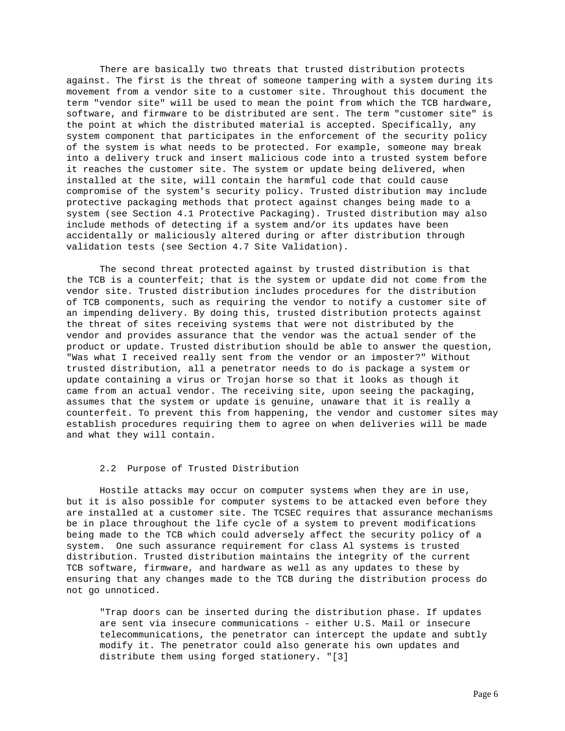There are basically two threats that trusted distribution protects against. The first is the threat of someone tampering with a system during its movement from a vendor site to a customer site. Throughout this document the term "vendor site" will be used to mean the point from which the TCB hardware, software, and firmware to be distributed are sent. The term "customer site" is the point at which the distributed material is accepted. Specifically, any system component that participates in the enforcement of the security policy of the system is what needs to be protected. For example, someone may break into a delivery truck and insert malicious code into a trusted system before it reaches the customer site. The system or update being delivered, when installed at the site, will contain the harmful code that could cause compromise of the system's security policy. Trusted distribution may include protective packaging methods that protect against changes being made to a system (see Section 4.1 Protective Packaging). Trusted distribution may also include methods of detecting if a system and/or its updates have been accidentally or maliciously altered during or after distribution through validation tests (see Section 4.7 Site Validation).

 The second threat protected against by trusted distribution is that the TCB is a counterfeit; that is the system or update did not come from the vendor site. Trusted distribution includes procedures for the distribution of TCB components, such as requiring the vendor to notify a customer site of an impending delivery. By doing this, trusted distribution protects against the threat of sites receiving systems that were not distributed by the vendor and provides assurance that the vendor was the actual sender of the product or update. Trusted distribution should be able to answer the question, "Was what I received really sent from the vendor or an imposter?" Without trusted distribution, all a penetrator needs to do is package a system or update containing a virus or Trojan horse so that it looks as though it came from an actual vendor. The receiving site, upon seeing the packaging, assumes that the system or update is genuine, unaware that it is really a counterfeit. To prevent this from happening, the vendor and customer sites may establish procedures requiring them to agree on when deliveries will be made and what they will contain.

## 2.2 Purpose of Trusted Distribution

 Hostile attacks may occur on computer systems when they are in use, but it is also possible for computer systems to be attacked even before they are installed at a customer site. The TCSEC requires that assurance mechanisms be in place throughout the life cycle of a system to prevent modifications being made to the TCB which could adversely affect the security policy of a system. One such assurance requirement for class Al systems is trusted distribution. Trusted distribution maintains the integrity of the current TCB software, firmware, and hardware as well as any updates to these by ensuring that any changes made to the TCB during the distribution process do not go unnoticed.

 "Trap doors can be inserted during the distribution phase. If updates are sent via insecure communications - either U.S. Mail or insecure telecommunications, the penetrator can intercept the update and subtly modify it. The penetrator could also generate his own updates and distribute them using forged stationery. "[3]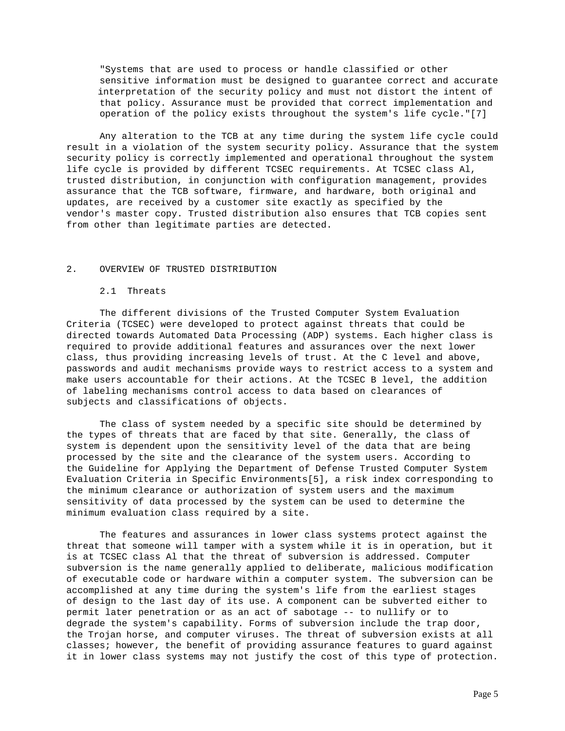"Systems that are used to process or handle classified or other sensitive information must be designed to guarantee correct and accurate interpretation of the security policy and must not distort the intent of that policy. Assurance must be provided that correct implementation and operation of the policy exists throughout the system's life cycle."[7]

 Any alteration to the TCB at any time during the system life cycle could result in a violation of the system security policy. Assurance that the system security policy is correctly implemented and operational throughout the system life cycle is provided by different TCSEC requirements. At TCSEC class Al, trusted distribution, in conjunction with configuration management, provides assurance that the TCB software, firmware, and hardware, both original and updates, are received by a customer site exactly as specified by the vendor's master copy. Trusted distribution also ensures that TCB copies sent from other than legitimate parties are detected.

# 2. OVERVIEW OF TRUSTED DISTRIBUTION

## 2.1 Threats

 The different divisions of the Trusted Computer System Evaluation Criteria (TCSEC) were developed to protect against threats that could be directed towards Automated Data Processing (ADP) systems. Each higher class is required to provide additional features and assurances over the next lower class, thus providing increasing levels of trust. At the C level and above, passwords and audit mechanisms provide ways to restrict access to a system and make users accountable for their actions. At the TCSEC B level, the addition of labeling mechanisms control access to data based on clearances of subjects and classifications of objects.

 The class of system needed by a specific site should be determined by the types of threats that are faced by that site. Generally, the class of system is dependent upon the sensitivity level of the data that are being processed by the site and the clearance of the system users. According to the Guideline for Applying the Department of Defense Trusted Computer System Evaluation Criteria in Specific Environments[5], a risk index corresponding to the minimum clearance or authorization of system users and the maximum sensitivity of data processed by the system can be used to determine the minimum evaluation class required by a site.

 The features and assurances in lower class systems protect against the threat that someone will tamper with a system while it is in operation, but it is at TCSEC class Al that the threat of subversion is addressed. Computer subversion is the name generally applied to deliberate, malicious modification of executable code or hardware within a computer system. The subversion can be accomplished at any time during the system's life from the earliest stages of design to the last day of its use. A component can be subverted either to permit later penetration or as an act of sabotage -- to nullify or to degrade the system's capability. Forms of subversion include the trap door, the Trojan horse, and computer viruses. The threat of subversion exists at all classes; however, the benefit of providing assurance features to guard against it in lower class systems may not justify the cost of this type of protection.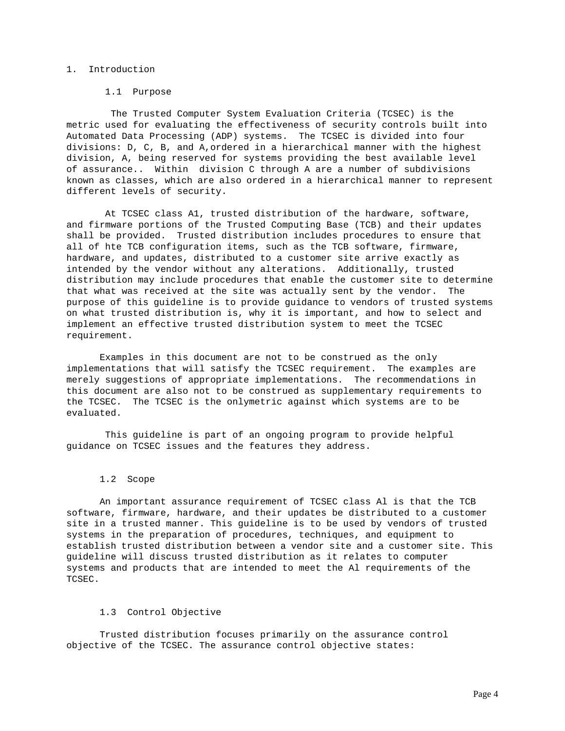## 1. Introduction

#### 1.1 Purpose

 The Trusted Computer System Evaluation Criteria (TCSEC) is the metric used for evaluating the effectiveness of security controls built into Automated Data Processing (ADP) systems. The TCSEC is divided into four divisions: D, C, B, and A,ordered in a hierarchical manner with the highest division, A, being reserved for systems providing the best available level of assurance.. Within division C through A are a number of subdivisions known as classes, which are also ordered in a hierarchical manner to represent different levels of security.

 At TCSEC class A1, trusted distribution of the hardware, software, and firmware portions of the Trusted Computing Base (TCB) and their updates shall be provided. Trusted distribution includes procedures to ensure that all of hte TCB configuration items, such as the TCB software, firmware, hardware, and updates, distributed to a customer site arrive exactly as intended by the vendor without any alterations. Additionally, trusted distribution may include procedures that enable the customer site to determine that what was received at the site was actually sent by the vendor. The purpose of this guideline is to provide guidance to vendors of trusted systems on what trusted distribution is, why it is important, and how to select and implement an effective trusted distribution system to meet the TCSEC requirement.

 Examples in this document are not to be construed as the only implementations that will satisfy the TCSEC requirement. The examples are merely suggestions of appropriate implementations. The recommendations in this document are also not to be construed as supplementary requirements to the TCSEC. The TCSEC is the onlymetric against which systems are to be evaluated.

 This guideline is part of an ongoing program to provide helpful guidance on TCSEC issues and the features they address.

#### 1.2 Scope

 An important assurance requirement of TCSEC class Al is that the TCB software, firmware, hardware, and their updates be distributed to a customer site in a trusted manner. This guideline is to be used by vendors of trusted systems in the preparation of procedures, techniques, and equipment to establish trusted distribution between a vendor site and a customer site. This guideline will discuss trusted distribution as it relates to computer systems and products that are intended to meet the Al requirements of the TCSEC.

## 1.3 Control Objective

 Trusted distribution focuses primarily on the assurance control objective of the TCSEC. The assurance control objective states: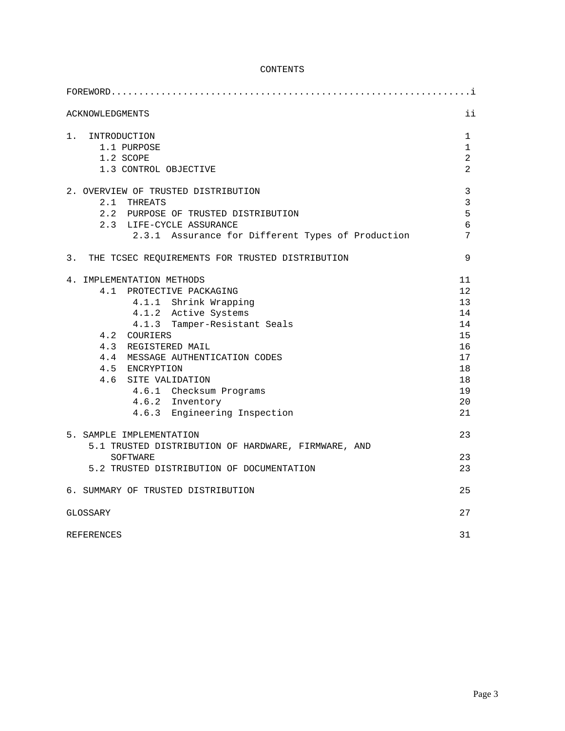# CONTENTS

| $FOREWORD$                                                                                                                                                                                                                                                                                                                               |                                                                            |
|------------------------------------------------------------------------------------------------------------------------------------------------------------------------------------------------------------------------------------------------------------------------------------------------------------------------------------------|----------------------------------------------------------------------------|
| <b>ACKNOWLEDGMENTS</b>                                                                                                                                                                                                                                                                                                                   | ii                                                                         |
| 1. INTRODUCTION<br>1.1 PURPOSE<br>1.2 SCOPE<br>1.3 CONTROL OBJECTIVE                                                                                                                                                                                                                                                                     | $\mathbf{1}$<br>$\mathbf{1}$<br>$\overline{a}$<br>$\overline{a}$           |
| 2. OVERVIEW OF TRUSTED DISTRIBUTION<br>2.1 THREATS<br>2.2 PURPOSE OF TRUSTED DISTRIBUTION<br>2.3 LIFE-CYCLE ASSURANCE<br>2.3.1 Assurance for Different Types of Production                                                                                                                                                               | $\mathbf{3}$<br>$\mathfrak{Z}$<br>5<br>6<br>7                              |
| 3. THE TCSEC REQUIREMENTS FOR TRUSTED DISTRIBUTION                                                                                                                                                                                                                                                                                       | 9                                                                          |
| 4. IMPLEMENTATION METHODS<br>4.1 PROTECTIVE PACKAGING<br>4.1.1 Shrink Wrapping<br>4.1.2 Active Systems<br>4.1.3 Tamper-Resistant Seals<br>4.2 COURIERS<br>4.3 REGISTERED MAIL<br>4.4 MESSAGE AUTHENTICATION CODES<br>4.5 ENCRYPTION<br>4.6 SITE VALIDATION<br>4.6.1 Checksum Programs<br>4.6.2 Inventory<br>4.6.3 Engineering Inspection | 11<br>12<br>13<br>14<br>14<br>15<br>16<br>17<br>18<br>18<br>19<br>20<br>21 |
| 5. SAMPLE IMPLEMENTATION<br>5.1 TRUSTED DISTRIBUTION OF HARDWARE, FIRMWARE, AND<br>SOFTWARE<br>5.2 TRUSTED DISTRIBUTION OF DOCUMENTATION                                                                                                                                                                                                 | 23<br>23<br>23                                                             |
| 6. SUMMARY OF TRUSTED DISTRIBUTION                                                                                                                                                                                                                                                                                                       | 25                                                                         |
| GLOSSARY                                                                                                                                                                                                                                                                                                                                 | 27                                                                         |
| <b>REFERENCES</b>                                                                                                                                                                                                                                                                                                                        | 31                                                                         |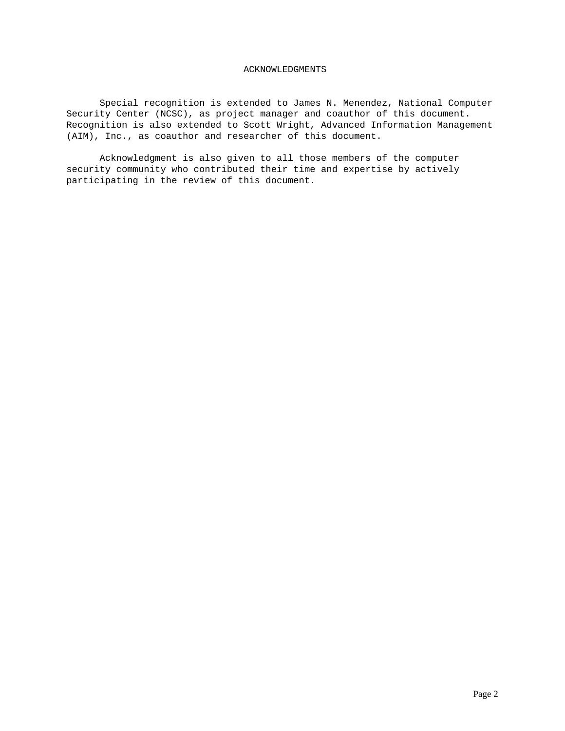### ACKNOWLEDGMENTS

 Special recognition is extended to James N. Menendez, National Computer Security Center (NCSC), as project manager and coauthor of this document. Recognition is also extended to Scott Wright, Advanced Information Management (AIM), Inc., as coauthor and researcher of this document.

 Acknowledgment is also given to all those members of the computer security community who contributed their time and expertise by actively participating in the review of this document.